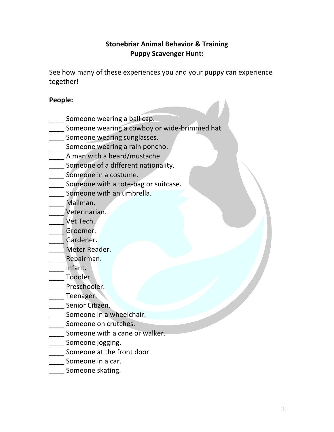# **Stonebriar Animal Behavior & Training Puppy Scavenger Hunt:**

See how many of these experiences you and your puppy can experience together!

## **People:**

- Someone wearing a ball cap.
- \_\_\_\_ Someone wearing a cowboy or wide-brimmed hat
- **\_\_\_\_** Someone wearing sunglasses.
- \_\_\_\_ Someone wearing a rain poncho.
- \_\_\_\_ A man with a beard/mustache.
- Someone of a different nationality.
- \_\_\_\_ Someone in a costume.
- Someone with a tote-bag or suitcase.
- Someone with an umbrella.
- \_\_\_\_ Mailman.
- \_\_\_\_ Veterinarian.
- \_\_\_\_ Vet Tech.
- \_\_\_\_ Groomer.
- \_\_\_\_ Gardener.
- Meter Reader.
- \_\_\_\_ Repairman.
- \_\_\_\_ Infant.
- \_\_\_\_ Toddler.
- Preschooler.
- Laternager.
- Senior Citizen.
- Someone in a wheelchair.
- **\_\_\_\_** Someone on crutches.
- Someone with a cane or walker.
- Someone jogging.
- Someone at the front door.
- \_\_\_\_ Someone in a car.
- Someone skating.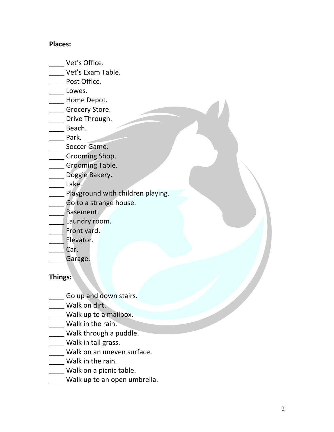### **Places:**

- \_\_\_\_ Vet's Office.
- \_\_\_\_ Vet's Exam Table.
- \_\_\_\_ Post Office.
- Lowes.
- \_\_\_\_ Home Depot.
- Grocery Store.
- \_\_\_\_ Drive Through.
- \_\_\_\_ Beach.
- \_\_\_\_ Park.
- \_\_\_\_ Soccer Game.
- \_\_\_\_ Grooming Shop.
- \_\_\_\_ Grooming Table.
- \_\_\_\_ Doggie Bakery.
- $\qquad \qquad$  Lake.
- Playground with children playing.
- **EXEC** Go to a strange house.
- Basement.
- Laundry room.
- \_\_\_\_ Front yard.
- \_\_\_\_ Elevator.
- Car.
	- Garage.

## **Things:**

- Go up and down stairs.
- Walk on dirt.
- \_\_\_\_ Walk up to a mailbox.
- \_\_\_\_ Walk in the rain.
- \_\_\_\_ Walk through a puddle.
- Walk in tall grass.
- \_\_\_\_ Walk on an uneven surface.
- \_\_\_\_ Walk in the rain.
- \_\_\_\_ Walk on a picnic table.
- Walk up to an open umbrella.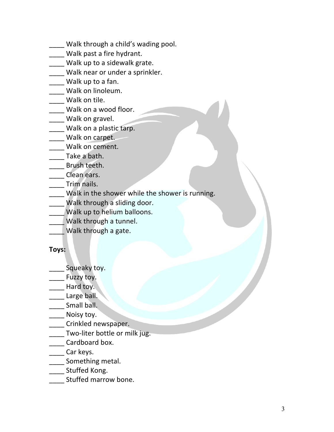- \_\_\_\_ Walk through a child's wading pool.
- \_\_\_\_ Walk past a fire hydrant.
- \_\_\_\_ Walk up to a sidewalk grate.
- Walk near or under a sprinkler.
- \_\_\_\_ Walk up to a fan.
- \_\_\_\_ Walk on linoleum.
- \_\_\_\_ Walk on tile.
- Walk on a wood floor.
- Walk on gravel.
- \_\_\_\_ Walk on a plastic tarp.
- \_\_\_\_ Walk on carpet.
- \_\_\_\_ Walk on cement.
- \_\_\_\_ Take a bath.
- \_\_\_\_ Brush teeth.
- \_\_\_\_ Clean ears.
- \_\_\_\_ Trim nails.
- Walk in the shower while the shower is running.
- \_\_\_\_ Walk through a sliding door.
- Walk up to helium balloons.
- \_\_\_\_ Walk through a tunnel.
- \_\_\_\_ Walk through a gate.

#### **Toys:**

- Squeaky toy.
- Latter Fuzzy toy.
- Hard toy.
- **Large ball.**
- \_\_\_\_ Small ball.
- \_\_\_\_ Noisy toy.
- **Lacker Clare Crinkled newspaper.**
- Two-liter bottle or milk jug.
- \_\_\_\_ Cardboard box.
- \_\_\_\_ Car keys.
- \_\_\_\_ Something metal.
- \_\_\_\_ Stuffed Kong.
- \_\_\_\_ Stuffed marrow bone.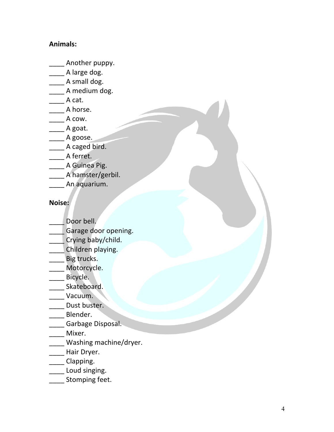# **Animals:**

- \_\_\_\_ Another puppy.
- \_\_\_\_ A large dog.
- \_\_\_\_\_ A small dog.
- A medium dog.
- $\frac{1}{2}$  A cat.
- A horse.
- A cow.
- $\_\_\_\_$  A goat.
- \_\_\_\_\_ A goose.
- \_\_\_\_ A caged bird.
- \_\_\_\_ A ferret.
- A Guinea Pig.
- \_\_\_\_ A hamster/gerbil.
- \_\_\_\_ An aquarium.

### **Noise:**

- Door bell.
- \_\_\_\_ Garage door opening.
- \_\_\_\_ Crying baby/child.
- \_\_\_\_ Children playing.
- \_\_\_\_ Big trucks.
- Motorcycle.
- \_\_\_\_\_ Bicycle.
- Skateboard.
- \_\_\_\_ Vacuum.
- Dust buster.
- \_\_\_\_ Blender.
- **\_\_\_\_\_** Garbage Disposal.
- \_\_\_\_ Mixer.
- \_\_\_\_ Washing machine/dryer.
- \_\_\_\_ Hair Dryer.
- \_\_\_\_ Clapping.
- Loud singing.
- \_\_\_\_ Stomping feet.